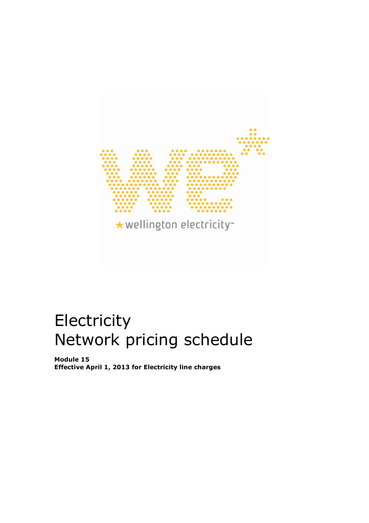

# Electricity Network pricing schedule

Module 15 Effective April 1, 2013 for Electricity line charges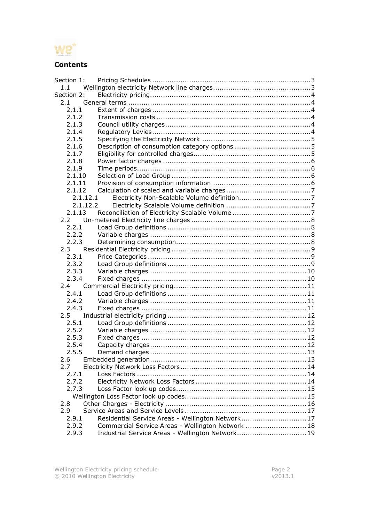

### **Contents**

| Section 1: |                                                   |  |
|------------|---------------------------------------------------|--|
| 1.1        |                                                   |  |
| Section 2: |                                                   |  |
| 2.1        |                                                   |  |
| 2.1.1      |                                                   |  |
| 2.1.2      |                                                   |  |
| 2.1.3      |                                                   |  |
| 2.1.4      |                                                   |  |
| 2.1.5      |                                                   |  |
| 2.1.6      |                                                   |  |
| 2.1.7      |                                                   |  |
| 2.1.8      |                                                   |  |
| 2.1.9      |                                                   |  |
| 2.1.10     |                                                   |  |
| 2.1.11     |                                                   |  |
| 2.1.12     |                                                   |  |
|            | 2.1.12.1                                          |  |
|            | 2.1.12.2                                          |  |
| 2.1.13     |                                                   |  |
| 2.2        |                                                   |  |
| 2.2.1      |                                                   |  |
| 2.2.2      |                                                   |  |
| 2.2.3      |                                                   |  |
| $2.3 -$    |                                                   |  |
| 2.3.1      |                                                   |  |
| 2.3.2      |                                                   |  |
| 2.3.3      |                                                   |  |
| 2.3.4      |                                                   |  |
| 2.4        |                                                   |  |
| 2.4.1      |                                                   |  |
| 2.4.2      |                                                   |  |
| 2.4.3      |                                                   |  |
| 2.5        |                                                   |  |
| 2.5.1      |                                                   |  |
| 2.5.2      |                                                   |  |
| 2.5.3      |                                                   |  |
| 2.5.4      |                                                   |  |
| 2.5.5      |                                                   |  |
| 2.6        |                                                   |  |
| 2.7        |                                                   |  |
| 2.7.1      |                                                   |  |
| 2.7.2      |                                                   |  |
| 2.7.3      |                                                   |  |
|            |                                                   |  |
| 2.8        |                                                   |  |
| 2.9        |                                                   |  |
| 2.9.1      | Residential Service Areas - Wellington Network 17 |  |
| 2.9.2      | Commercial Service Areas - Wellington Network  18 |  |
| 2.9.3      | Industrial Service Areas - Wellington Network 19  |  |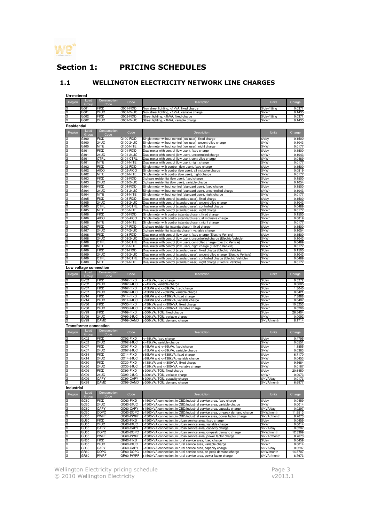

# Section 1: PRICING SCHEDULES

#### 1.1 WELLINGTON ELECTRICITY NETWORK LINE CHARGES

**Un-metered**

| Region      | Load                          | Consumption                | Code                   | Description                                                                                                                          | <b>Units</b>                 | Charge            |
|-------------|-------------------------------|----------------------------|------------------------|--------------------------------------------------------------------------------------------------------------------------------------|------------------------------|-------------------|
|             | Group                         | Code                       |                        |                                                                                                                                      |                              |                   |
| G           | G001                          | <b>FIXD</b>                | G001-FIXD              | Non street lighting, <1kVA, fixed charge                                                                                             | \$/day/fitting               | 0.0371            |
| G           | G001                          | <b>24UC</b>                | G001-24UC              | Non street lighting, <1kVA, variable charge                                                                                          | \$/kWh                       | 0.1435            |
|             |                               |                            |                        |                                                                                                                                      |                              |                   |
| G           | G002                          | FIXD                       | G002-FIXD              | Street lighting, <1kVA, fixed charge                                                                                                 | \$/day/fitting               | 0.0371            |
| G           | G002                          | 24UC                       | G002-24UC              | Street lighting, <1kVA, variable charge                                                                                              | \$/kWh                       | 0.1435            |
|             |                               |                            |                        |                                                                                                                                      |                              |                   |
| Residential |                               |                            |                        |                                                                                                                                      |                              |                   |
|             | Load                          | Consumption                | Code                   |                                                                                                                                      | Units                        |                   |
| Region      | Group                         | Code                       |                        | Description                                                                                                                          |                              | Charge            |
| G           | G100                          | <b>FIXD</b>                | G100-FIXD              |                                                                                                                                      | \$/day                       | 0.1500            |
|             |                               |                            |                        | Single meter without control (low user), fixed charge                                                                                |                              |                   |
| G           | G100                          | 24UC                       | G100-24UC              | Single meter without control (low user), uncontrolled charge                                                                         | \$/kWh                       | 0.1043            |
| G           | G100                          | <b>NITE</b>                | G100-NITE              | Single meter without control (low user), night charge                                                                                | \$/kWh                       | 0.0177            |
| G           | G101                          | <b>FIXD</b>                | G101-FIXD              | Dual meter with control (low user), fixed charge                                                                                     | \$/day                       | 0.1500            |
| G           | G101                          | <b>24UC</b>                | G101-24UC              | Dual meter with control (low user), uncontrolled charge                                                                              | \$/kWh                       | 0.1043            |
|             |                               |                            |                        |                                                                                                                                      |                              |                   |
| G           | G101                          | CTRL                       | G101-CTRL              | Dual meter with control (low user), controlled charge                                                                                | \$/kWh                       | 0.0489            |
| G           | G101                          | <b>NITE</b>                | G101-NITE              | Dual meter with control (low user), night charge                                                                                     | \$/kWh                       | 0.0177            |
| G           | G102                          | FIXD                       | G102-FIXD              | Single meter with control (low user), fixed charge                                                                                   | \$/day                       | 0.1500            |
| G           | G102                          | AICO                       | G102-AICO              | Single meter with control (low user), all inclusive charge                                                                           | \$/kWh                       | 0.0819            |
|             |                               |                            |                        |                                                                                                                                      |                              |                   |
| G           | G102                          | <b>NITE</b>                | G102-NITE              | Single meter with control (low user), night charge                                                                                   | \$/kWh                       | 0.0177            |
| G           | G103                          | <b>FIXD</b>                | G103-FIXD              | 3 phase residential (low user), fixed charge                                                                                         | \$/day                       | 0.1500            |
| G           | G103                          | 24UC                       | G103-24UC              | 3 phase residential (low user), variable charge                                                                                      | \$/kWh                       | 0.1054            |
| G           | G104                          | <b>FIXD</b>                | G104-FIXD              | Single meter without control (standard user), fixed charge                                                                           | \$/day                       | 0.1500            |
|             |                               |                            |                        |                                                                                                                                      |                              |                   |
| G           | G104                          | <b>24UC</b>                | G104-24UC              | Single meter without control (standard user), uncontrolled charge                                                                    | \$/kWh                       | 0.1043            |
| G           | G104                          | NITE                       | G104-NITE              | Single meter without control (standard user), night charge                                                                           | \$/kWh                       | 0.0177            |
| G           | G105                          | FIXD                       | G105-FIXD              | Dual meter with control (standard user), fixed charge                                                                                | \$/day                       | 0.1500            |
| G           | G105                          | 24UC                       | G105-24UC              | Dual meter with control (standard user), uncontrolled charge                                                                         | \$/kWh                       | 0.1043            |
|             |                               |                            |                        |                                                                                                                                      |                              |                   |
| G           | G105                          | <b>CTRL</b>                | G105-CTRL              | Dual meter with control (standard user), controlled charge                                                                           | \$/kWh                       | 0.0489            |
| G           | G105                          | NITE                       | G105-NITE              | Dual meter with control (standard user), night charge                                                                                | \$/kWh                       | 0.0177            |
| G           | G106                          | <b>FIXD</b>                | G106-FIXD              | Single meter with control (standard user), fixed charge                                                                              | \$/day                       | 0.1500            |
| G           | G106                          | <b>AICO</b>                | G106-AICO              | Single meter with control (standard user), all inclusive charge                                                                      | \$/kWh                       | 0.0819            |
|             |                               |                            |                        |                                                                                                                                      |                              |                   |
| G           | G106                          | <b>NITE</b>                | G106-NITE              | Single meter with control (standard user), night charge                                                                              | \$/kWh                       | 0.0177            |
| G           | G107                          | FIXD                       | G107-FIXD              | 3 phase residential (standard user), fixed charge                                                                                    | \$/day                       | 0.1500            |
| G           | G107                          | 24UC                       | G107-24UC              | 3 phase residential (standard user), variable charge                                                                                 | \$/kWh                       | 0.1054            |
| G           | G108                          | FIXD                       | G108-FIXD              | Dual meter with control (low user), fixed charge (Electric Vehicle)                                                                  | \$/day                       | 0.1500            |
|             |                               |                            |                        |                                                                                                                                      |                              |                   |
| G           | G108                          | 24UC                       | G108-24UC              | Dual meter with control (low user), uncontrolled charge (Electric Vehicle)                                                           | \$/kWh                       | 0.1043            |
| G           | G108                          | CTRL                       | G108-CTRL              | Dual meter with control (low user), controlled charge (Electric Vehicle)                                                             | \$/kWh                       | 0.0489            |
| G           | G108                          | <b>NITE</b>                | G108-NITE              | Dual meter with control (low user), night charge (Electric Vehicle                                                                   | \$/kWh                       | 0.0177            |
| G           | G109                          | <b>FIXD</b>                | G109-FIXD              | Dual meter with control (standard user), fixed charge (Electric Vehicle)                                                             | \$/day                       | 0.1500            |
|             |                               |                            |                        |                                                                                                                                      |                              |                   |
| G           | G109                          | 24UC                       | G109-24UC              | Dual meter with control (standard user), uncontrolled charge (Electric Vehicle)                                                      | \$/kWh                       | 0.1043            |
| G           | G109                          | CTRL                       | G109-CTRL              | Dual meter with control (standard user), controlled charge (Electric Vehicle)                                                        | \$/kWh                       | 0.0489            |
| G           | G109                          | <b>NITE</b>                | G109-NITE              | Dual meter with control (standard user), night charge (Electric Vehicle)                                                             | \$/kWh                       | 0.0177            |
|             |                               |                            |                        |                                                                                                                                      |                              |                   |
|             | Low voltage connection        |                            |                        |                                                                                                                                      |                              |                   |
|             | Load                          | Consumption                |                        |                                                                                                                                      |                              |                   |
| Region      | Group                         | Code                       | Code                   | Description                                                                                                                          | Units                        | Charge            |
|             |                               |                            |                        |                                                                                                                                      |                              |                   |
| G           | GV <sub>02</sub>              | <b>FIXD</b>                | GV02-FIXD              | <=15kVA, fixed charge                                                                                                                | \$/day                       | 0.5272            |
| G           | GV02                          | 24UC                       | GV02-24UC              | <=15kVA, variable charge                                                                                                             | \$/kWh                       | 0.0605            |
| G           | GV07                          | <b>FIXD</b>                | GV07-FIXD              | >15kVA and <=69kVA, fixed charge                                                                                                     | \$/day                       | 1.3040            |
| G           | GV07                          | <b>24UC</b>                | GV07-24UC              | >15kVA and <=69kVA, variable charge                                                                                                  | \$/kWh                       | 0.0421            |
| G           | GV <sub>14</sub>              | <b>FIXD</b>                | GV14-FIXD              | >69kVA and <=138kVA, fixed charge                                                                                                    |                              |                   |
|             |                               |                            |                        |                                                                                                                                      | \$/day                       | 7.3888            |
| G           |                               | <b>24UC</b>                | GV14-24UC              | >69kVA and <=138kVA, variable charge                                                                                                 |                              | 0.0497            |
|             | GV <sub>14</sub>              |                            |                        |                                                                                                                                      | \$/kWh                       |                   |
| G           | GV30                          | <b>FIXD</b>                | GV30-FIXD              |                                                                                                                                      | \$/day                       | 10.5253           |
|             |                               |                            |                        | >138kVA and <= 300kVA, fixed charge                                                                                                  |                              |                   |
| G           | GV30                          | 24UC                       | GV30-24UC              | >138kVA and <=300kVA, variable charge                                                                                                | \$/kWh                       | 0.0206            |
| G           | GV99                          | FIXD                       | GV99-FIXD              | >300kVA, TOU, fixed charge                                                                                                           | $\sqrt{$}$ /day              | 26.5404           |
| G           | GV99                          | 24UC                       | GV99-24UC              | >300kVA, TOU, variable charge                                                                                                        | \$/kWh                       | 0.0092            |
| G           | GV99                          | <b>DAMD</b>                | GV99-DAMD              | >300kVA, TOU, demand charge                                                                                                          | \$/kVA/month                 | 8.1714            |
|             |                               |                            |                        |                                                                                                                                      |                              |                   |
|             | <b>Transformer connection</b> |                            |                        |                                                                                                                                      |                              |                   |
|             | Load                          | Consumption                |                        |                                                                                                                                      |                              |                   |
| Region      |                               |                            | Code                   | Description                                                                                                                          | Units                        | Charge            |
|             | Group                         | Code                       |                        |                                                                                                                                      |                              |                   |
| G.          | GX02                          | FIXD                       | GX02-FIXD              | <=15kVA, fixed charge                                                                                                                | \$/day                       | 0.4795            |
| G           | GX02                          | <b>24UC</b>                | GX02-24UC              | <=15kVA, variable charge                                                                                                             | \$/kWh                       | 0.0551            |
| G           | GX07                          | <b>FIXD</b>                | GX07-FIXD              | >15kVA and <= 69kVA, fixed charge                                                                                                    | \$/day                       | 1.1855            |
| G           | GX07                          | <b>24UC</b>                | GX07-24UC              | >15kVA and <= 69kVA, variable charge                                                                                                 | \$/kWh                       | 0.0383            |
|             |                               |                            |                        |                                                                                                                                      |                              |                   |
| G           | GX14                          | <b>FIXD</b>                | GX14-FIXD              | >69kVA and <=138kVA, fixed charge                                                                                                    | \$/day                       | 6.7170            |
| G           | GX14                          | 24UC                       | GX14-24UC              | >69kVA and <=138kVA, variable charge                                                                                                 | \$/kWh                       | 0.0453            |
| G           | GX30                          | <b>FIXD</b>                | GX30-FIXD              | >138kVA and <= 300kVA, fixed charge                                                                                                  | $\sqrt{$4ay}$                | 9.5684            |
| G           | GX30                          | <b>24UC</b>                | GX30-24UC              | >138kVA and <=300kVA, variable charge                                                                                                | \$/kWh                       | 0.0187            |
|             |                               |                            |                        |                                                                                                                                      |                              |                   |
| G           | GX99                          | <b>FIXD</b>                | GX99-FIXD              | >300kVA, TOU, fixed charge                                                                                                           | \$/day                       | 20.6450           |
|             | GX99                          | <b>24UC</b>                | GX99-24UC              | >300kVA. TOU, variable charge                                                                                                        | \$/kWh                       | 0.0073            |
| G           | GX99                          | CAPY                       | GX99-CAPY              | >300kVA, TOU, capacity charge                                                                                                        | \$/kVA/day                   | 0.0173            |
| G           | GX99                          | <b>DAMD</b>                | GX99-DAMD              | >300kVA, TOU, demand charge                                                                                                          | \$/kVA/month                 | 6.6977            |
|             |                               |                            |                        |                                                                                                                                      |                              |                   |
| Industrial  |                               |                            |                        |                                                                                                                                      |                              |                   |
|             | Load                          |                            |                        |                                                                                                                                      |                              |                   |
| Region      |                               | Consumption                | Code                   | Description                                                                                                                          | Units                        | Charge            |
|             | Group                         | Code                       |                        |                                                                                                                                      |                              |                   |
| G           | GC60                          | <b>FIXD</b>                | GC60-FIXD              | >1500kVA connection, in CBD/Industrial service area, fixed charge                                                                    | \$/day                       | 0.0459            |
| G           | GC60                          | <b>24UC</b>                | GC60-24UC              | >1500kVA connection, in CBD/Industrial service area, variable charge                                                                 | \$/kWh                       | 0.0014            |
|             |                               |                            | GC60-CAPY              | capacity charge                                                                                                                      |                              |                   |
| G           | GC60                          | CAPY                       |                        | >1500kVA connection, in CBD/Industrial service area,                                                                                 | \$/kVA/day                   | 0.0297            |
| G           | GC60                          | <b>DOPC</b>                | GC60-DOPC              | >1500kVA connection, in CBD/Industrial service area, on-peak demand charge                                                           | \$/kW/month                  | 11.8513           |
| G           | GC60                          | PWRF                       | GC60-PWRF              | >1500kVA connection, in CBD/Industrial service area, power factor charge                                                             | \$/kVAr/month                | 8.7673            |
| G           | GU60                          | FIXD                       | GU60-FIXD              | >1500kVA connection, in urban service area, fixed charge                                                                             | \$/day                       | 0.0459            |
|             |                               |                            |                        |                                                                                                                                      |                              |                   |
| G           | GU60                          | 24UC                       | GU60-24UC              | >1500kVA connection, in urban service area, variable charge                                                                          | \$/kWh                       | 0.0014            |
| G           | GU60                          | <b>CAPY</b>                | GU60-CAPY              | >1500kVA connection, in urban service area, capacity charge                                                                          | \$/kVA/day                   | 0.0297            |
| G           | GU60                          | <b>DOPC</b>                | GU60-DOPC              | >1500kVA connection, in urban service area, on-peak demand charge                                                                    | \$/kW/month                  | 12.3399           |
| G           | GU60                          | <b>PWRF</b>                | GU60-PWRF              | >1500kVA connection, in urban service area, power factor charge                                                                      | \$/kVAr/month                | 8.7673            |
|             |                               |                            |                        |                                                                                                                                      |                              |                   |
| G           | GR60                          | <b>FIXD</b>                | GR60-FIXD              | >1500kVA connection, in rural service area, fixed charge                                                                             | \$/day                       | 0.0459            |
| G           | GR60                          | 24UC                       | GR60-24UC              | >1500kVA connection, in rural service area, variable charge                                                                          | \$/kWh                       | 0.0014            |
| G           | GR60                          | CAPY                       | GR60-CAPY              | >1500kVA connection, in rural service area, capacity charge                                                                          | \$/kVA/day                   | 0.0297            |
| G<br>G      | GR60<br>GR60                  | <b>DOPC</b><br><b>PWRF</b> | GR60-DOPC<br>GR60-PWRF | >1500kVA connection, in rural service area, on-peak demand charge<br>>1500kVA connection, in rural service area, power factor charge | \$/kW/month<br>\$/kVAr/month | 14.8707<br>8.7673 |

Wellington Electricity pricing schedule **Page 3** Page 3 © 2010 Wellington Electricity v2013.1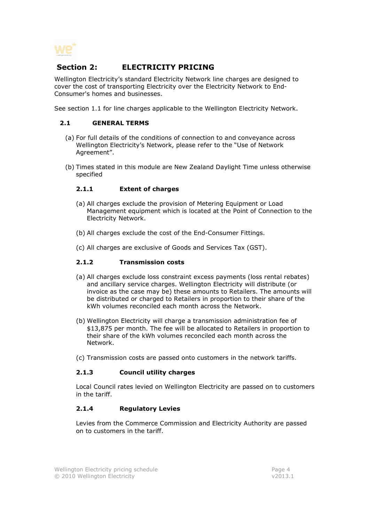

## Section 2: ELECTRICITY PRICING

Wellington Electricity's standard Electricity Network line charges are designed to cover the cost of transporting Electricity over the Electricity Network to End-Consumer's homes and businesses.

See section 1.1 for line charges applicable to the Wellington Electricity Network.

#### 2.1 GENERAL TERMS

- (a) For full details of the conditions of connection to and conveyance across Wellington Electricity's Network, please refer to the "Use of Network Agreement".
- (b) Times stated in this module are New Zealand Daylight Time unless otherwise specified

#### 2.1.1 Extent of charges

- (a) All charges exclude the provision of Metering Equipment or Load Management equipment which is located at the Point of Connection to the Electricity Network.
- (b) All charges exclude the cost of the End-Consumer Fittings.
- (c) All charges are exclusive of Goods and Services Tax (GST).

#### 2.1.2 Transmission costs

- (a) All charges exclude loss constraint excess payments (loss rental rebates) and ancillary service charges. Wellington Electricity will distribute (or invoice as the case may be) these amounts to Retailers. The amounts will be distributed or charged to Retailers in proportion to their share of the kWh volumes reconciled each month across the Network.
- (b) Wellington Electricity will charge a transmission administration fee of \$13,875 per month. The fee will be allocated to Retailers in proportion to their share of the kWh volumes reconciled each month across the Network.
- (c) Transmission costs are passed onto customers in the network tariffs.

#### 2.1.3 Council utility charges

Local Council rates levied on Wellington Electricity are passed on to customers in the tariff.

#### 2.1.4 Regulatory Levies

Levies from the Commerce Commission and Electricity Authority are passed on to customers in the tariff.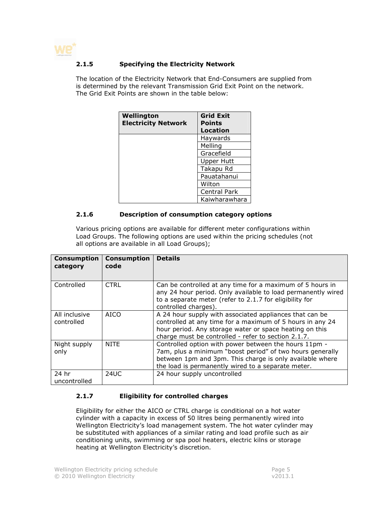

#### 2.1.5 Specifying the Electricity Network

The location of the Electricity Network that End-Consumers are supplied from is determined by the relevant Transmission Grid Exit Point on the network. The Grid Exit Points are shown in the table below:

| Wellington<br><b>Electricity Network</b> | <b>Grid Exit</b><br><b>Points</b> |
|------------------------------------------|-----------------------------------|
|                                          | Location                          |
|                                          | Haywards                          |
|                                          | Melling                           |
|                                          | Gracefield                        |
|                                          | <b>Upper Hutt</b>                 |
|                                          | Takapu Rd                         |
|                                          | Pauatahanui                       |
|                                          | Wilton                            |
|                                          | <b>Central Park</b>               |
|                                          | Kaiwharawhara                     |

#### 2.1.6 Description of consumption category options

Various pricing options are available for different meter configurations within Load Groups. The following options are used within the pricing schedules (not all options are available in all Load Groups);

| <b>Consumption</b><br>category | <b>Consumption</b><br>code | <b>Details</b>                                                                                                                                                                                                                         |
|--------------------------------|----------------------------|----------------------------------------------------------------------------------------------------------------------------------------------------------------------------------------------------------------------------------------|
| Controlled                     | <b>CTRL</b>                | Can be controlled at any time for a maximum of 5 hours in<br>any 24 hour period. Only available to load permanently wired<br>to a separate meter (refer to 2.1.7 for eligibility for<br>controlled charges).                           |
| All inclusive<br>controlled    | <b>AICO</b>                | A 24 hour supply with associated appliances that can be<br>controlled at any time for a maximum of 5 hours in any 24<br>hour period. Any storage water or space heating on this<br>charge must be controlled - refer to section 2.1.7. |
| Night supply<br>only           | <b>NITE</b>                | Controlled option with power between the hours 11pm -<br>7am, plus a minimum "boost period" of two hours generally<br>between 1pm and 3pm. This charge is only available where<br>the load is permanently wired to a separate meter.   |
| 24 hr<br>uncontrolled          | 24UC                       | 24 hour supply uncontrolled                                                                                                                                                                                                            |

#### 2.1.7 Eligibility for controlled charges

Eligibility for either the AICO or CTRL charge is conditional on a hot water cylinder with a capacity in excess of 50 litres being permanently wired into Wellington Electricity's load management system. The hot water cylinder may be substituted with appliances of a similar rating and load profile such as air conditioning units, swimming or spa pool heaters, electric kilns or storage heating at Wellington Electricity's discretion.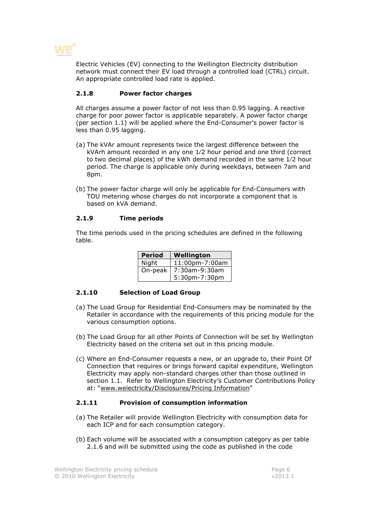

Electric Vehicles (EV) connecting to the Wellington Electricity distribution network must connect their EV load through a controlled load (CTRL) circuit. An appropriate controlled load rate is applied.

#### 2.1.8 Power factor charges

All charges assume a power factor of not less than 0.95 lagging. A reactive charge for poor power factor is applicable separately. A power factor charge (per section 1.1) will be applied where the End-Consumer's power factor is less than 0.95 lagging.

- (a) The kVAr amount represents twice the largest difference between the kVArh amount recorded in any one 1⁄2 hour period and one third (correct to two decimal places) of the kWh demand recorded in the same 1⁄2 hour period. The charge is applicable only during weekdays, between 7am and 8pm.
- (b) The power factor charge will only be applicable for End-Consumers with TOU metering whose charges do not incorporate a component that is based on kVA demand.

#### 2.1.9 Time periods

The time periods used in the pricing schedules are defined in the following table.

| <b>Period</b> | Wellington     |
|---------------|----------------|
| Night         | 11:00pm-7:00am |
| On-peak       | 7:30am-9:30am  |
|               | 5:30pm-7:30pm  |

#### 2.1.10 Selection of Load Group

- (a) The Load Group for Residential End-Consumers may be nominated by the Retailer in accordance with the requirements of this pricing module for the various consumption options.
- (b) The Load Group for all other Points of Connection will be set by Wellington Electricity based on the criteria set out in this pricing module.
- (c) Where an End-Consumer requests a new, or an upgrade to, their Point Of Connection that requires or brings forward capital expenditure, Wellington Electricity may apply non-standard charges other than those outlined in section 1.1. Refer to Wellington Electricity's Customer Contributions Policy at: "www.welectricity/Disclosures/Pricing Information"

#### 2.1.11 Provision of consumption information

- (a) The Retailer will provide Wellington Electricity with consumption data for each ICP and for each consumption category.
- (b) Each volume will be associated with a consumption category as per table 2.1.6 and will be submitted using the code as published in the code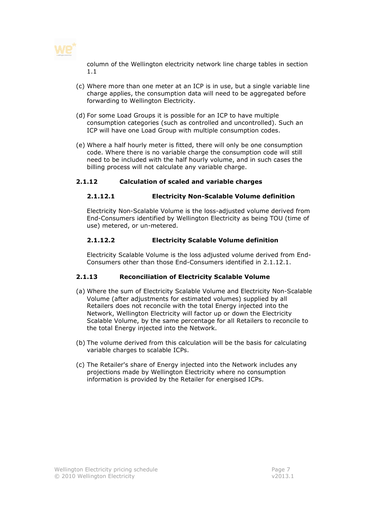

column of the Wellington electricity network line charge tables in section 1.1

- (c) Where more than one meter at an ICP is in use, but a single variable line charge applies, the consumption data will need to be aggregated before forwarding to Wellington Electricity.
- (d) For some Load Groups it is possible for an ICP to have multiple consumption categories (such as controlled and uncontrolled). Such an ICP will have one Load Group with multiple consumption codes.
- (e) Where a half hourly meter is fitted, there will only be one consumption code. Where there is no variable charge the consumption code will still need to be included with the half hourly volume, and in such cases the billing process will not calculate any variable charge.

#### 2.1.12 Calculation of scaled and variable charges

#### 2.1.12.1 Electricity Non-Scalable Volume definition

Electricity Non-Scalable Volume is the loss-adjusted volume derived from End-Consumers identified by Wellington Electricity as being TOU (time of use) metered, or un-metered.

#### 2.1.12.2 Electricity Scalable Volume definition

Electricity Scalable Volume is the loss adjusted volume derived from End-Consumers other than those End-Consumers identified in 2.1.12.1.

#### 2.1.13 Reconciliation of Electricity Scalable Volume

- (a) Where the sum of Electricity Scalable Volume and Electricity Non-Scalable Volume (after adjustments for estimated volumes) supplied by all Retailers does not reconcile with the total Energy injected into the Network, Wellington Electricity will factor up or down the Electricity Scalable Volume, by the same percentage for all Retailers to reconcile to the total Energy injected into the Network.
- (b) The volume derived from this calculation will be the basis for calculating variable charges to scalable ICPs.
- (c) The Retailer's share of Energy injected into the Network includes any projections made by Wellington Electricity where no consumption information is provided by the Retailer for energised ICPs.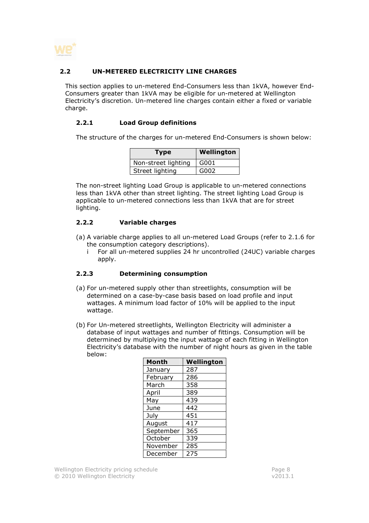

#### 2.2 UN-METERED ELECTRICITY LINE CHARGES

This section applies to un-metered End-Consumers less than 1kVA, however End-Consumers greater than 1kVA may be eligible for un-metered at Wellington Electricity's discretion. Un-metered line charges contain either a fixed or variable charge.

#### 2.2.1 Load Group definitions

The structure of the charges for un-metered End-Consumers is shown below:

| Type                | <b>Wellington</b> |
|---------------------|-------------------|
| Non-street lighting | G001              |
| Street lighting     | G002              |

The non-street lighting Load Group is applicable to un-metered connections less than 1kVA other than street lighting. The street lighting Load Group is applicable to un-metered connections less than 1kVA that are for street lighting.

#### 2.2.2 Variable charges

- (a) A variable charge applies to all un-metered Load Groups (refer to 2.1.6 for the consumption category descriptions).
	- i For all un-metered supplies 24 hr uncontrolled (24UC) variable charges apply.

#### 2.2.3 Determining consumption

- (a) For un-metered supply other than streetlights, consumption will be determined on a case-by-case basis based on load profile and input wattages. A minimum load factor of 10% will be applied to the input wattage.
- (b) For Un-metered streetlights, Wellington Electricity will administer a database of input wattages and number of fittings. Consumption will be determined by multiplying the input wattage of each fitting in Wellington Electricity's database with the number of night hours as given in the table below:

| <b>Month</b> | Wellington |
|--------------|------------|
| January      | 287        |
| February     | 286        |
| March        | 358        |
| April        | 389        |
| May          | 439        |
| June         | 442        |
| July         | 451        |
| August       | 417        |
| September    | 365        |
| October      | 339        |
| November     | 285        |
| December     | 275        |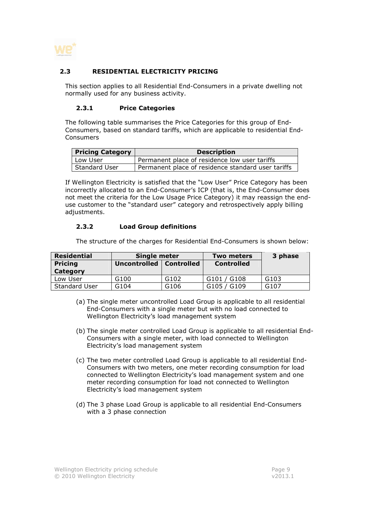

#### 2.3 RESIDENTIAL ELECTRICITY PRICING

This section applies to all Residential End-Consumers in a private dwelling not normally used for any business activity.

#### 2.3.1 Price Categories

The following table summarises the Price Categories for this group of End-Consumers, based on standard tariffs, which are applicable to residential End-Consumers

| <b>Pricing Category</b> | <b>Description</b>                                 |
|-------------------------|----------------------------------------------------|
| Low User                | Permanent place of residence low user tariffs      |
| Standard User           | Permanent place of residence standard user tariffs |

If Wellington Electricity is satisfied that the "Low User" Price Category has been incorrectly allocated to an End-Consumer's ICP (that is, the End-Consumer does not meet the criteria for the Low Usage Price Category) it may reassign the enduse customer to the "standard user" category and retrospectively apply billing adjustments.

#### 2.3.2 Load Group definitions

The structure of the charges for Residential End-Consumers is shown below:

| <b>Residential</b>   | Single meter |                   | <b>Two meters</b> | 3 phase          |
|----------------------|--------------|-------------------|-------------------|------------------|
| <b>Pricing</b>       | Uncontrolled | <b>Controlled</b> | <b>Controlled</b> |                  |
| Category             |              |                   |                   |                  |
| Low User             | G100         | G <sub>102</sub>  | G101 / G108       | G <sub>103</sub> |
| <b>Standard User</b> | G104         | G <sub>106</sub>  | G105 / G109       | G107             |

- (a) The single meter uncontrolled Load Group is applicable to all residential End-Consumers with a single meter but with no load connected to Wellington Electricity's load management system
- (b) The single meter controlled Load Group is applicable to all residential End-Consumers with a single meter, with load connected to Wellington Electricity's load management system
- (c) The two meter controlled Load Group is applicable to all residential End-Consumers with two meters, one meter recording consumption for load connected to Wellington Electricity's load management system and one meter recording consumption for load not connected to Wellington Electricity's load management system
- (d) The 3 phase Load Group is applicable to all residential End-Consumers with a 3 phase connection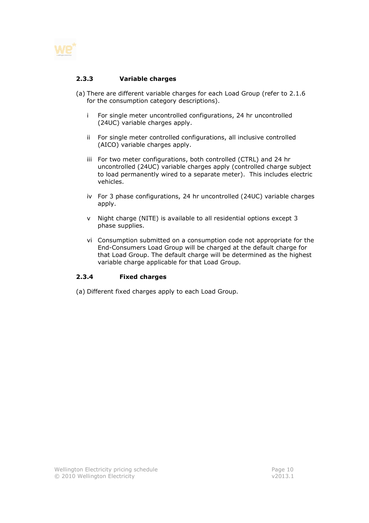

#### 2.3.3 Variable charges

- (a) There are different variable charges for each Load Group (refer to 2.1.6 for the consumption category descriptions).
	- i For single meter uncontrolled configurations, 24 hr uncontrolled (24UC) variable charges apply.
	- ii For single meter controlled configurations, all inclusive controlled (AICO) variable charges apply.
	- iii For two meter configurations, both controlled (CTRL) and 24 hr uncontrolled (24UC) variable charges apply (controlled charge subject to load permanently wired to a separate meter). This includes electric vehicles.
	- iv For 3 phase configurations, 24 hr uncontrolled (24UC) variable charges apply.
	- v Night charge (NITE) is available to all residential options except 3 phase supplies.
	- vi Consumption submitted on a consumption code not appropriate for the End-Consumers Load Group will be charged at the default charge for that Load Group. The default charge will be determined as the highest variable charge applicable for that Load Group.

#### 2.3.4 Fixed charges

(a) Different fixed charges apply to each Load Group.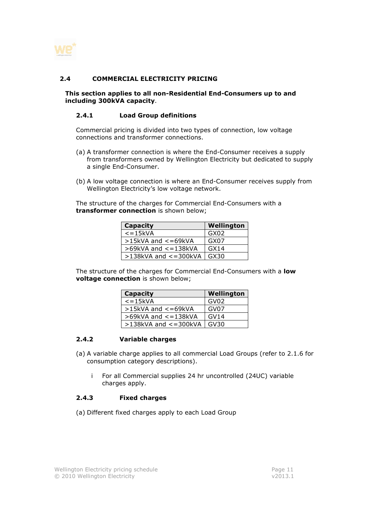

#### 2.4 COMMERCIAL ELECTRICITY PRICING

This section applies to all non-Residential End-Consumers up to and including 300kVA capacity.

#### 2.4.1 Load Group definitions

Commercial pricing is divided into two types of connection, low voltage connections and transformer connections.

- (a) A transformer connection is where the End-Consumer receives a supply from transformers owned by Wellington Electricity but dedicated to supply a single End-Consumer.
- (b) A low voltage connection is where an End-Consumer receives supply from Wellington Electricity's low voltage network.

The structure of the charges for Commercial End-Consumers with a transformer connection is shown below;

| <b>Capacity</b>              | Wellington |
|------------------------------|------------|
| $\epsilon$ =15kVA            | GX02       |
| $>15$ kVA and $<=69$ kVA     | GX07       |
| $>69$ kVA and $\lt$ = 138kVA | GX14       |
| $>138$ kVA and $<=300$ kVA   | GX30       |

The structure of the charges for Commercial End-Consumers with a **low** voltage connection is shown below;

| <b>Capacity</b>              | Wellington       |
|------------------------------|------------------|
| $\epsilon$ =15 $\kappa$ VA   | GV <sub>02</sub> |
| $>15$ kVA and $<=69$ kVA     | GVO7             |
| $>69$ kVA and $\lt$ = 138kVA | GVI4             |
| $>138$ kVA and $<=300$ kVA   | GV30             |

#### 2.4.2 Variable charges

- (a) A variable charge applies to all commercial Load Groups (refer to 2.1.6 for consumption category descriptions).
	- i For all Commercial supplies 24 hr uncontrolled (24UC) variable charges apply.

#### 2.4.3 Fixed charges

(a) Different fixed charges apply to each Load Group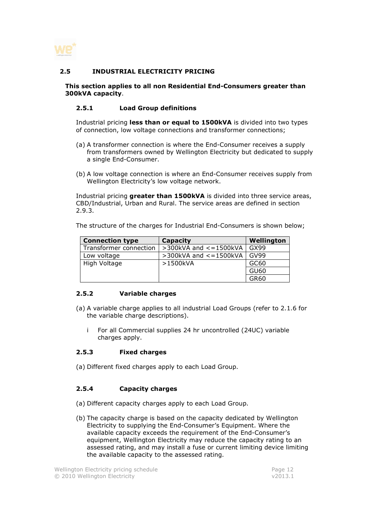

#### 2.5 INDUSTRIAL ELECTRICITY PRICING

#### This section applies to all non Residential End-Consumers greater than 300kVA capacity.

#### 2.5.1 Load Group definitions

Industrial pricing less than or equal to 1500kVA is divided into two types of connection, low voltage connections and transformer connections;

- (a) A transformer connection is where the End-Consumer receives a supply from transformers owned by Wellington Electricity but dedicated to supply a single End-Consumer.
- (b) A low voltage connection is where an End-Consumer receives supply from Wellington Electricity's low voltage network.

Industrial pricing greater than 1500kVA is divided into three service areas, CBD/Industrial, Urban and Rural. The service areas are defined in section 2.9.3.

The structure of the charges for Industrial End-Consumers is shown below;

| <b>Connection type</b> | Capacity                       | Wellington  |
|------------------------|--------------------------------|-------------|
| Transformer connection | $>$ 300kVA and $\lt$ = 1500kVA | GX99        |
| Low voltage            | $>$ 300kVA and $<$ = 1500kVA   | <b>GV99</b> |
| High Voltage           | >1500kVA                       | GC60        |
|                        |                                | <b>GU60</b> |
|                        |                                | GR60        |

#### 2.5.2 Variable charges

- (a) A variable charge applies to all industrial Load Groups (refer to 2.1.6 for the variable charge descriptions).
	- i For all Commercial supplies 24 hr uncontrolled (24UC) variable charges apply.

#### 2.5.3 Fixed charges

(a) Different fixed charges apply to each Load Group.

#### 2.5.4 Capacity charges

- (a) Different capacity charges apply to each Load Group.
- (b) The capacity charge is based on the capacity dedicated by Wellington Electricity to supplying the End-Consumer's Equipment. Where the available capacity exceeds the requirement of the End-Consumer's equipment, Wellington Electricity may reduce the capacity rating to an assessed rating, and may install a fuse or current limiting device limiting the available capacity to the assessed rating.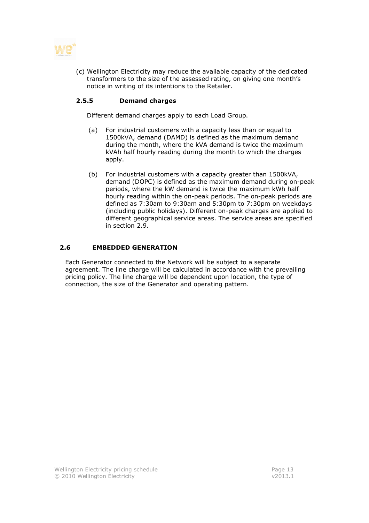

(c) Wellington Electricity may reduce the available capacity of the dedicated transformers to the size of the assessed rating, on giving one month's notice in writing of its intentions to the Retailer.

#### 2.5.5 Demand charges

Different demand charges apply to each Load Group.

- (a) For industrial customers with a capacity less than or equal to 1500kVA, demand (DAMD) is defined as the maximum demand during the month, where the kVA demand is twice the maximum kVAh half hourly reading during the month to which the charges apply.
- (b) For industrial customers with a capacity greater than 1500kVA, demand (DOPC) is defined as the maximum demand during on-peak periods, where the kW demand is twice the maximum kWh half hourly reading within the on-peak periods. The on-peak periods are defined as 7:30am to 9:30am and 5:30pm to 7:30pm on weekdays (including public holidays). Different on-peak charges are applied to different geographical service areas. The service areas are specified in section 2.9.

#### 2.6 EMBEDDED GENERATION

Each Generator connected to the Network will be subject to a separate agreement. The line charge will be calculated in accordance with the prevailing pricing policy. The line charge will be dependent upon location, the type of connection, the size of the Generator and operating pattern.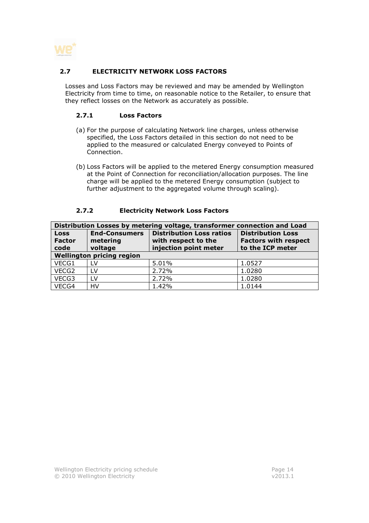

#### 2.7 ELECTRICITY NETWORK LOSS FACTORS

Losses and Loss Factors may be reviewed and may be amended by Wellington Electricity from time to time, on reasonable notice to the Retailer, to ensure that they reflect losses on the Network as accurately as possible.

#### 2.7.1 Loss Factors

- (a) For the purpose of calculating Network line charges, unless otherwise specified, the Loss Factors detailed in this section do not need to be applied to the measured or calculated Energy conveyed to Points of Connection.
- (b) Loss Factors will be applied to the metered Energy consumption measured at the Point of Connection for reconciliation/allocation purposes. The line charge will be applied to the metered Energy consumption (subject to further adjustment to the aggregated volume through scaling).

#### 2.7.2 Electricity Network Loss Factors

| Distribution Losses by metering voltage, transformer connection and Load |                                             |                                                                                 |                                                                             |  |  |  |
|--------------------------------------------------------------------------|---------------------------------------------|---------------------------------------------------------------------------------|-----------------------------------------------------------------------------|--|--|--|
| <b>Loss</b><br><b>Factor</b><br>code                                     | <b>End-Consumers</b><br>metering<br>voltage | <b>Distribution Loss ratios</b><br>with respect to the<br>injection point meter | <b>Distribution Loss</b><br><b>Factors with respect</b><br>to the ICP meter |  |  |  |
| <b>Wellington pricing region</b>                                         |                                             |                                                                                 |                                                                             |  |  |  |
| VECG1                                                                    | LV                                          | 5.01%                                                                           | 1.0527                                                                      |  |  |  |
| VECG <sub>2</sub>                                                        | LV                                          | 2.72%                                                                           | 1.0280                                                                      |  |  |  |
| VECG3                                                                    | LV                                          | 2.72%                                                                           | 1.0280                                                                      |  |  |  |
| VECG4                                                                    | HV                                          | 1.42%                                                                           | 1.0144                                                                      |  |  |  |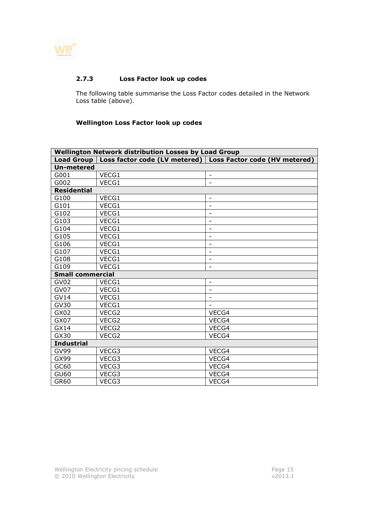

#### 2.7.3 Loss Factor look up codes

The following table summarise the Loss Factor codes detailed in the Network Loss table (above).

#### Wellington Loss Factor look up codes

| <b>Wellington Network distribution Losses by Load Group</b> |       |                                                               |  |  |  |  |
|-------------------------------------------------------------|-------|---------------------------------------------------------------|--|--|--|--|
| <b>Load Group</b>                                           |       | Loss factor code (LV metered)   Loss Factor code (HV metered) |  |  |  |  |
| <b>Un-metered</b>                                           |       |                                                               |  |  |  |  |
| G001                                                        | VECG1 | $\overline{\phantom{a}}$                                      |  |  |  |  |
| G002                                                        | VECG1 | $\overline{a}$                                                |  |  |  |  |
| <b>Residential</b>                                          |       |                                                               |  |  |  |  |
| G100                                                        | VECG1 |                                                               |  |  |  |  |
| G101                                                        | VECG1 | $\overline{a}$                                                |  |  |  |  |
| G102                                                        | VECG1 | $\overline{\phantom{a}}$                                      |  |  |  |  |
| G103                                                        | VECG1 | $\overline{\phantom{0}}$                                      |  |  |  |  |
| G104                                                        | VECG1 | $\overline{\phantom{a}}$                                      |  |  |  |  |
| G105                                                        | VECG1 | $\overline{\phantom{m}}$                                      |  |  |  |  |
| G106                                                        | VECG1 | $\overline{\phantom{a}}$                                      |  |  |  |  |
| G107                                                        | VECG1 | $\overline{\phantom{a}}$                                      |  |  |  |  |
| G108                                                        | VECG1 | $\overline{\phantom{a}}$                                      |  |  |  |  |
| G109                                                        | VECG1 | $\overline{\phantom{a}}$                                      |  |  |  |  |
| <b>Small commercial</b>                                     |       |                                                               |  |  |  |  |
| GV <sub>02</sub>                                            | VECG1 | $\overline{\phantom{a}}$                                      |  |  |  |  |
| GV07                                                        | VECG1 | $\blacksquare$                                                |  |  |  |  |
| <b>GV14</b>                                                 | VECG1 | $\overline{\phantom{a}}$                                      |  |  |  |  |
| GV30                                                        | VECG1 |                                                               |  |  |  |  |
| GX02                                                        | VECG2 | VECG4                                                         |  |  |  |  |
| GX07                                                        | VECG2 | VECG4                                                         |  |  |  |  |
| GX14                                                        | VECG2 | VECG4                                                         |  |  |  |  |
| GX30                                                        | VECG2 | VECG4                                                         |  |  |  |  |
| <b>Industrial</b>                                           |       |                                                               |  |  |  |  |
| GV99                                                        | VECG3 | VECG4                                                         |  |  |  |  |
| GX99                                                        | VECG3 | VECG4                                                         |  |  |  |  |
| GC60                                                        | VECG3 | VECG4                                                         |  |  |  |  |
| GU60                                                        | VECG3 | VECG4                                                         |  |  |  |  |
| GR60                                                        | VECG3 | VECG4                                                         |  |  |  |  |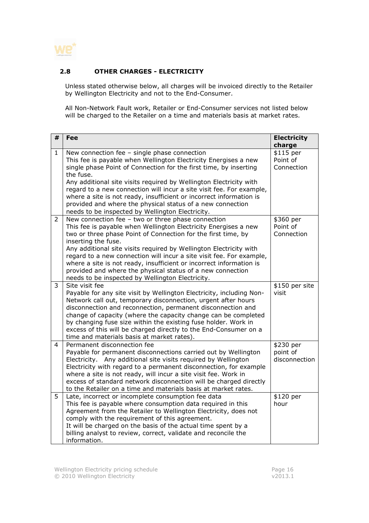

#### 2.8 OTHER CHARGES - ELECTRICITY

Unless stated otherwise below, all charges will be invoiced directly to the Retailer by Wellington Electricity and not to the End-Consumer.

All Non-Network Fault work, Retailer or End-Consumer services not listed below will be charged to the Retailer on a time and materials basis at market rates.

| #              | Fee                                                                                                                                                                                                                                                                                                                                                                                                                                                                          | <b>Electricity</b><br>charge           |
|----------------|------------------------------------------------------------------------------------------------------------------------------------------------------------------------------------------------------------------------------------------------------------------------------------------------------------------------------------------------------------------------------------------------------------------------------------------------------------------------------|----------------------------------------|
| $\mathbf{1}$   | New connection fee - single phase connection<br>This fee is payable when Wellington Electricity Energises a new<br>single phase Point of Connection for the first time, by inserting<br>the fuse.<br>Any additional site visits required by Wellington Electricity with                                                                                                                                                                                                      | \$115 per<br>Point of<br>Connection    |
|                | regard to a new connection will incur a site visit fee. For example,<br>where a site is not ready, insufficient or incorrect information is<br>provided and where the physical status of a new connection<br>needs to be inspected by Wellington Electricity.                                                                                                                                                                                                                |                                        |
| $\overline{2}$ | New connection fee - two or three phase connection<br>This fee is payable when Wellington Electricity Energises a new<br>two or three phase Point of Connection for the first time, by<br>inserting the fuse.                                                                                                                                                                                                                                                                | \$360 per<br>Point of<br>Connection    |
|                | Any additional site visits required by Wellington Electricity with<br>regard to a new connection will incur a site visit fee. For example,<br>where a site is not ready, insufficient or incorrect information is<br>provided and where the physical status of a new connection<br>needs to be inspected by Wellington Electricity.                                                                                                                                          |                                        |
| 3              | Site visit fee<br>Payable for any site visit by Wellington Electricity, including Non-<br>Network call out, temporary disconnection, urgent after hours<br>disconnection and reconnection, permanent disconnection and<br>change of capacity (where the capacity change can be completed<br>by changing fuse size within the existing fuse holder. Work in<br>excess of this will be charged directly to the End-Consumer on a<br>time and materials basis at market rates). | \$150 per site<br>visit                |
| 4              | Permanent disconnection fee<br>Payable for permanent disconnections carried out by Wellington<br>Electricity. Any additional site visits required by Wellington<br>Electricity with regard to a permanent disconnection, for example<br>where a site is not ready, will incur a site visit fee. Work in<br>excess of standard network disconnection will be charged directly<br>to the Retailer on a time and materials basis at market rates.                               | \$230 per<br>point of<br>disconnection |
| 5              | Late, incorrect or incomplete consumption fee data<br>This fee is payable where consumption data required in this<br>Agreement from the Retailer to Wellington Electricity, does not<br>comply with the requirement of this agreement.<br>It will be charged on the basis of the actual time spent by a<br>billing analyst to review, correct, validate and reconcile the<br>information.                                                                                    | \$120 per<br>hour                      |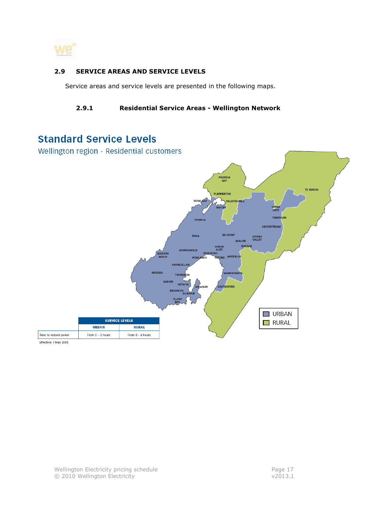

#### 2.9 SERVICE AREAS AND SERVICE LEVELS

Service areas and service levels are presented in the following maps.

#### 2.9.1 Residential Service Areas - Wellington Network

# **Standard Service Levels**

Wellington region - Residential customers

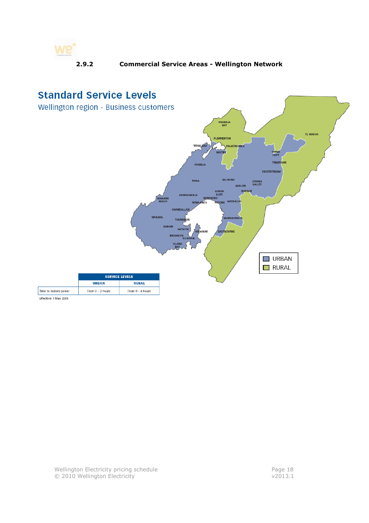

#### 2.9.2 Commercial Service Areas - Wellington Network



Effective: 1 May 2005